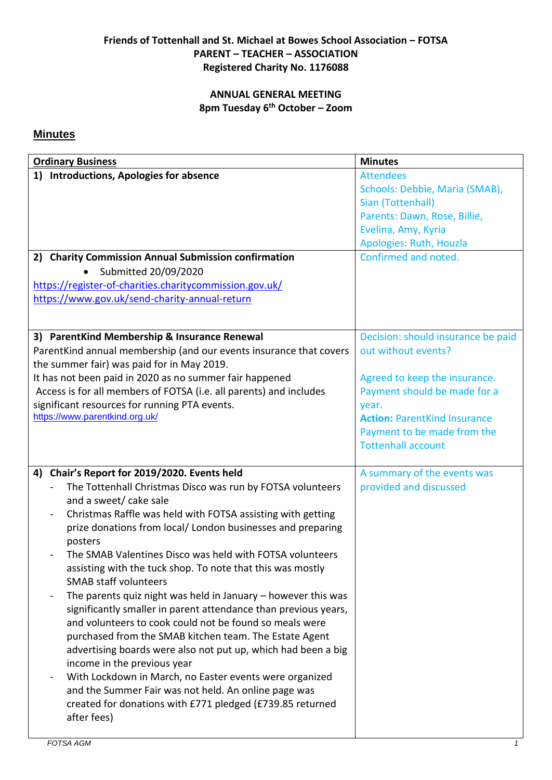## **Friends of Tottenhall and St. Michael at Bowes School Association – FOTSA PARENT – TEACHER – ASSOCIATION Registered Charity No. 1176088**

## **ANNUAL GENERAL MEETING 8pm Tuesday 6th October – Zoom**

## **Minutes**

| <b>Ordinary Business</b>                                                                    | <b>Minutes</b>                      |
|---------------------------------------------------------------------------------------------|-------------------------------------|
| 1) Introductions, Apologies for absence                                                     | <b>Attendees</b>                    |
|                                                                                             | Schools: Debbie, Maria (SMAB),      |
|                                                                                             | Sian (Tottenhall)                   |
|                                                                                             | Parents: Dawn, Rose, Billie,        |
|                                                                                             | Evelina, Amy, Kyria                 |
|                                                                                             | Apologies: Ruth, Houzla             |
| 2) Charity Commission Annual Submission confirmation                                        | Confirmed and noted.                |
| Submitted 20/09/2020                                                                        |                                     |
| https://register-of-charities.charitycommission.gov.uk/                                     |                                     |
| https://www.gov.uk/send-charity-annual-return                                               |                                     |
|                                                                                             |                                     |
|                                                                                             |                                     |
| 3) ParentKind Membership & Insurance Renewal                                                | Decision: should insurance be paid  |
| ParentKind annual membership (and our events insurance that covers                          | out without events?                 |
| the summer fair) was paid for in May 2019.                                                  |                                     |
| It has not been paid in 2020 as no summer fair happened                                     | Agreed to keep the insurance.       |
| Access is for all members of FOTSA (i.e. all parents) and includes                          | Payment should be made for a        |
| significant resources for running PTA events.                                               | year.                               |
| https://www.parentkind.org.uk/                                                              | <b>Action: ParentKind Insurance</b> |
|                                                                                             | Payment to be made from the         |
|                                                                                             | <b>Tottenhall account</b>           |
|                                                                                             |                                     |
| Chair's Report for 2019/2020. Events held<br>4)                                             | A summary of the events was         |
| The Tottenhall Christmas Disco was run by FOTSA volunteers                                  | provided and discussed              |
| and a sweet/ cake sale<br>Christmas Raffle was held with FOTSA assisting with getting       |                                     |
| $\blacksquare$<br>prize donations from local/ London businesses and preparing               |                                     |
| posters                                                                                     |                                     |
| The SMAB Valentines Disco was held with FOTSA volunteers                                    |                                     |
| assisting with the tuck shop. To note that this was mostly                                  |                                     |
| <b>SMAB staff volunteers</b>                                                                |                                     |
| The parents quiz night was held in January $-$ however this was<br>$\overline{\phantom{0}}$ |                                     |
| significantly smaller in parent attendance than previous years,                             |                                     |
| and volunteers to cook could not be found so meals were                                     |                                     |
| purchased from the SMAB kitchen team. The Estate Agent                                      |                                     |
| advertising boards were also not put up, which had been a big                               |                                     |
| income in the previous year                                                                 |                                     |
| With Lockdown in March, no Easter events were organized                                     |                                     |
| and the Summer Fair was not held. An online page was                                        |                                     |
| created for donations with £771 pledged (£739.85 returned                                   |                                     |
| after fees)                                                                                 |                                     |
|                                                                                             |                                     |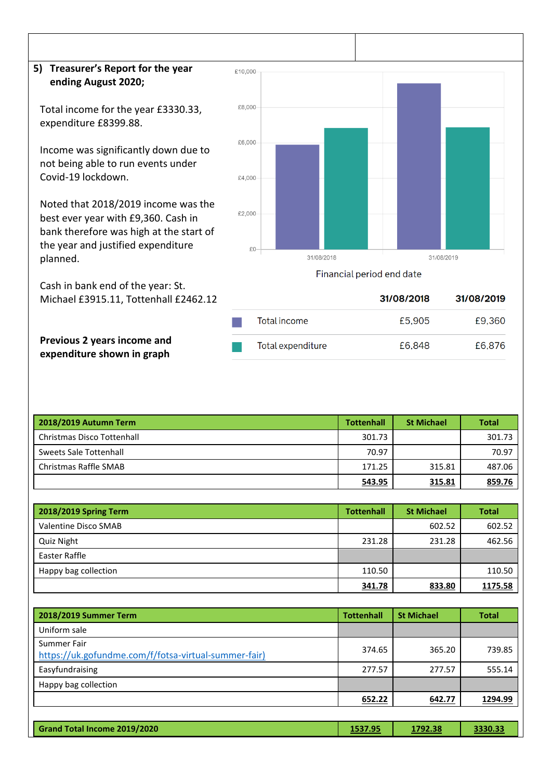## **5) Treasurer's Report for the year ending August 2020;**

Total income for the year £3330.33, expenditure £8399.88.

Income was significantly down due to not being able to run events under Covid-19 lockdown.

Noted that 2018/2019 income was the best ever year with £9,360. Cash in bank therefore was high at the start of the year and justified expenditure planned.

Cash in bank end of the year: St. Michael £3915.11, Tottenhall £2462.12



Financial period end date

|                   | 31/08/2018 | 31/08/2019 |
|-------------------|------------|------------|
| Total income      | £5,905     | £9,360     |
| Total expenditure | £6,848     | £6,876     |

**Previous 2 years income and expenditure shown in graph**

| 2018/2019 Autumn Term      | <b>Tottenhall</b> | <b>St Michael</b> | <b>Total</b> |
|----------------------------|-------------------|-------------------|--------------|
| Christmas Disco Tottenhall | 301.73            |                   | 301.73       |
| Sweets Sale Tottenhall     | 70.97             |                   | 70.97        |
| Christmas Raffle SMAB      | 171.25            | 315.81            | 487.06       |
|                            | 543.95            | 315.81            | 859.76       |

| 2018/2019 Spring Term | <b>Tottenhall</b> | <b>St Michael</b> | <b>Total</b> |
|-----------------------|-------------------|-------------------|--------------|
| Valentine Disco SMAB  |                   | 602.52            | 602.52       |
| Quiz Night            | 231.28            | 231.28            | 462.56       |
| Easter Raffle         |                   |                   |              |
| Happy bag collection  | 110.50            |                   | 110.50       |
|                       | 341.78            | 833.80            | 1175.58      |

| 2018/2019 Summer Term                                               | <b>Tottenhall</b> | <b>St Michael</b> | <b>Total</b> |
|---------------------------------------------------------------------|-------------------|-------------------|--------------|
| Uniform sale                                                        |                   |                   |              |
| Summer Fair<br>https://uk.gofundme.com/f/fotsa-virtual-summer-fair) | 374.65            | 365.20            | 739.85       |
| Easyfundraising                                                     | 277.57            | 277.57            | 555.14       |
| Happy bag collection                                                |                   |                   |              |
|                                                                     | 652.22            | 642.77            | 1294.99      |
|                                                                     |                   |                   |              |

| Grand Total Income 2019/2020<br>1537.95<br>3330.33<br>1792.38 |
|---------------------------------------------------------------|
|---------------------------------------------------------------|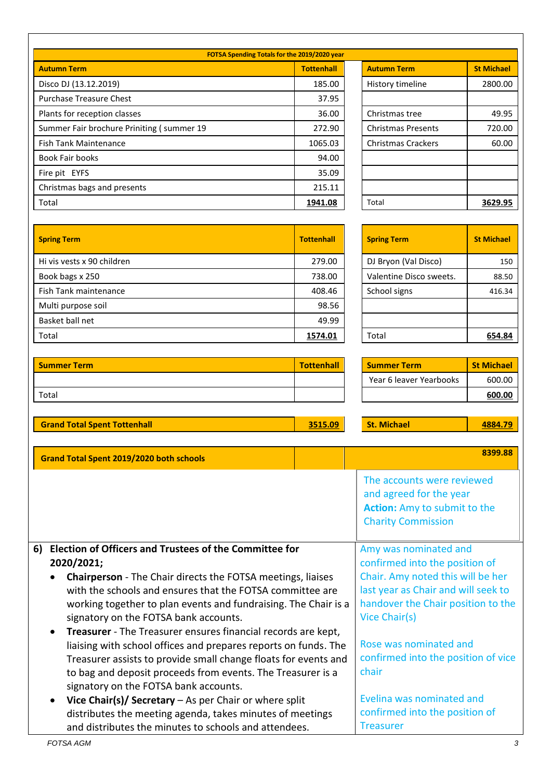| FOTSA Spending Totals for the 2019/2020 year |                   |                           |                   |  |
|----------------------------------------------|-------------------|---------------------------|-------------------|--|
| <b>Autumn Term</b>                           | <b>Tottenhall</b> | <b>Autumn Term</b>        | <b>St Michael</b> |  |
| Disco DJ (13.12.2019)                        | 185.00            | History timeline          | 2800.00           |  |
| <b>Purchase Treasure Chest</b>               | 37.95             |                           |                   |  |
| Plants for reception classes                 | 36.00             | Christmas tree            | 49.95             |  |
| Summer Fair brochure Priniting (summer 19    | 272.90            | <b>Christmas Presents</b> | 720.00            |  |
| <b>Fish Tank Maintenance</b>                 | 1065.03           | <b>Christmas Crackers</b> | 60.00             |  |
| <b>Book Fair books</b>                       | 94.00             |                           |                   |  |
| Fire pit EYFS                                | 35.09             |                           |                   |  |
| Christmas bags and presents                  | 215.11            |                           |                   |  |
| Total                                        | 1941.08           | Total                     | 3629.95           |  |

| <b>Autumn Term</b>        | <b>St Michael</b> |
|---------------------------|-------------------|
| History timeline          | 2800.00           |
|                           |                   |
| Christmas tree            | 49.95             |
| <b>Christmas Presents</b> | 720.00            |
| <b>Christmas Crackers</b> | 60.00             |
|                           |                   |
|                           |                   |
|                           |                   |
| Total                     | 3629.95           |

| <b>Spring Term</b>         | <b>Tottenhall</b> | <b>Spring Term</b>      | <b>St Michael</b> |
|----------------------------|-------------------|-------------------------|-------------------|
| Hi vis vests x 90 children | 279.00            | DJ Bryon (Val Disco)    | 150               |
| Book bags x 250            | 738.00            | Valentine Disco sweets. | 88.50             |
| Fish Tank maintenance      | 408.46            | School signs            | 416.34            |
| Multi purpose soil         | 98.56             |                         |                   |
| Basket ball net            | 49.99             |                         |                   |
| Total                      | 1574.01           | Total                   | 654.84            |

| <b>Spring Term</b>      | <b>St Michael</b> |
|-------------------------|-------------------|
| DJ Bryon (Val Disco)    | 150               |
| Valentine Disco sweets. | 88.50             |
| School signs            | 416.34            |
|                         |                   |
|                         |                   |
| Total                   |                   |

| <b>Summer Term</b>                                                                                                                                                                                                                                                                                                                                                                                                         | <b>Tottenhall</b> | <b>Summer Term</b>                                                                                                                                                                         | <b>St Michael</b> |
|----------------------------------------------------------------------------------------------------------------------------------------------------------------------------------------------------------------------------------------------------------------------------------------------------------------------------------------------------------------------------------------------------------------------------|-------------------|--------------------------------------------------------------------------------------------------------------------------------------------------------------------------------------------|-------------------|
|                                                                                                                                                                                                                                                                                                                                                                                                                            |                   | Year 6 leaver Yearbooks                                                                                                                                                                    | 600.00            |
| Total                                                                                                                                                                                                                                                                                                                                                                                                                      |                   |                                                                                                                                                                                            | 600.00            |
|                                                                                                                                                                                                                                                                                                                                                                                                                            |                   |                                                                                                                                                                                            |                   |
| <b>Grand Total Spent Tottenhall</b>                                                                                                                                                                                                                                                                                                                                                                                        | 3515.09           | <b>St. Michael</b>                                                                                                                                                                         | 4884.79           |
|                                                                                                                                                                                                                                                                                                                                                                                                                            |                   |                                                                                                                                                                                            |                   |
| Grand Total Spent 2019/2020 both schools                                                                                                                                                                                                                                                                                                                                                                                   |                   |                                                                                                                                                                                            | 8399.88           |
|                                                                                                                                                                                                                                                                                                                                                                                                                            |                   | The accounts were reviewed<br>and agreed for the year<br><b>Action:</b> Amy to submit to the<br><b>Charity Commission</b>                                                                  |                   |
| Election of Officers and Trustees of the Committee for<br>6)<br>2020/2021;<br>Chairperson - The Chair directs the FOTSA meetings, liaises<br>with the schools and ensures that the FOTSA committee are<br>working together to plan events and fundraising. The Chair is a<br>signatory on the FOTSA bank accounts.<br>Treasurer - The Treasurer ensures financial records are kept,<br>$\bullet$                           |                   | Amy was nominated and<br>confirmed into the position of<br>Chair. Amy noted this will be her<br>last year as Chair and will seek to<br>handover the Chair position to the<br>Vice Chair(s) |                   |
| liaising with school offices and prepares reports on funds. The<br>Treasurer assists to provide small change floats for events and<br>to bag and deposit proceeds from events. The Treasurer is a<br>signatory on the FOTSA bank accounts.<br>Vice Chair(s)/ Secretary - As per Chair or where split<br>distributes the meeting agenda, takes minutes of meetings<br>and distributes the minutes to schools and attendees. |                   | Rose was nominated and<br>confirmed into the position of vice<br>chair<br>Evelina was nominated and<br>confirmed into the position of<br><b>Treasurer</b>                                  |                   |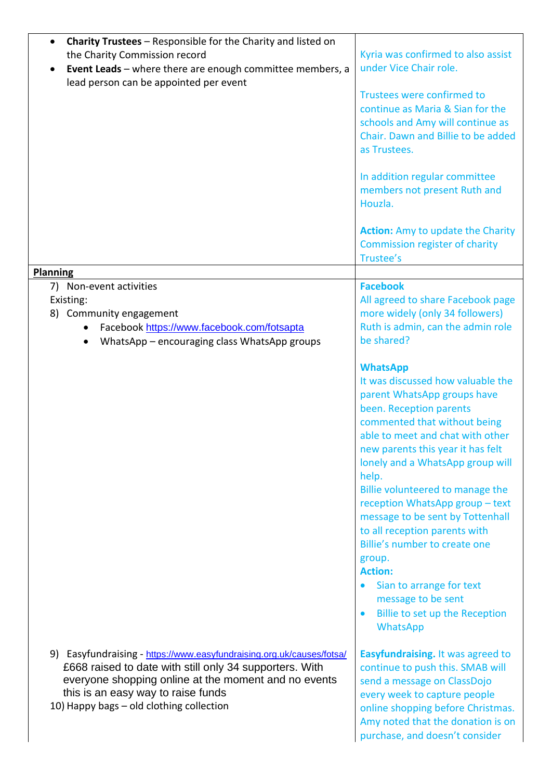| <b>Charity Trustees</b> – Responsible for the Charity and listed on<br>the Charity Commission record<br>Event Leads - where there are enough committee members, a<br>lead person can be appointed per event                                                                | Kyria was confirmed to also assist<br>under Vice Chair role.<br>Trustees were confirmed to<br>continue as Maria & Sian for the<br>schools and Amy will continue as<br>Chair. Dawn and Billie to be added<br>as Trustees.<br>In addition regular committee<br>members not present Ruth and<br>Houzla.                                                                                                                                                                                                                                                                                       |
|----------------------------------------------------------------------------------------------------------------------------------------------------------------------------------------------------------------------------------------------------------------------------|--------------------------------------------------------------------------------------------------------------------------------------------------------------------------------------------------------------------------------------------------------------------------------------------------------------------------------------------------------------------------------------------------------------------------------------------------------------------------------------------------------------------------------------------------------------------------------------------|
|                                                                                                                                                                                                                                                                            | <b>Action:</b> Amy to update the Charity<br><b>Commission register of charity</b><br>Trustee's                                                                                                                                                                                                                                                                                                                                                                                                                                                                                             |
| <b>Planning</b><br>7) Non-event activities                                                                                                                                                                                                                                 | <b>Facebook</b>                                                                                                                                                                                                                                                                                                                                                                                                                                                                                                                                                                            |
| Existing:<br>8) Community engagement<br>Facebook https://www.facebook.com/fotsapta<br>WhatsApp - encouraging class WhatsApp groups                                                                                                                                         | All agreed to share Facebook page<br>more widely (only 34 followers)<br>Ruth is admin, can the admin role<br>be shared?                                                                                                                                                                                                                                                                                                                                                                                                                                                                    |
|                                                                                                                                                                                                                                                                            | <b>WhatsApp</b><br>It was discussed how valuable the<br>parent WhatsApp groups have<br>been. Reception parents<br>commented that without being<br>able to meet and chat with other<br>new parents this year it has felt<br>lonely and a WhatsApp group will<br>help.<br>Billie volunteered to manage the<br>reception WhatsApp group - text<br>message to be sent by Tottenhall<br>to all reception parents with<br>Billie's number to create one<br>group.<br><b>Action:</b><br>Sian to arrange for text<br>message to be sent<br>Billie to set up the Reception<br>$\bullet$<br>WhatsApp |
| 9) Easyfundraising - https://www.easyfundraising.org.uk/causes/fotsa/<br>£668 raised to date with still only 34 supporters. With<br>everyone shopping online at the moment and no events<br>this is an easy way to raise funds<br>10) Happy bags - old clothing collection | Easyfundraising. It was agreed to<br>continue to push this. SMAB will<br>send a message on ClassDojo<br>every week to capture people<br>online shopping before Christmas.<br>Amy noted that the donation is on<br>purchase, and doesn't consider                                                                                                                                                                                                                                                                                                                                           |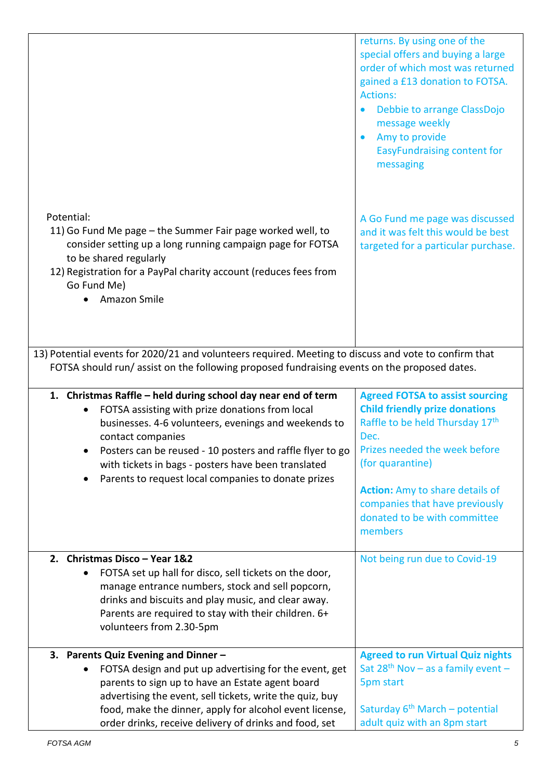|                                                                                                                                                                                                                                                                                                                                                                          | returns. By using one of the<br>special offers and buying a large<br>order of which most was returned<br>gained a £13 donation to FOTSA.<br><b>Actions:</b><br>Debbie to arrange ClassDojo<br>message weekly<br>Amy to provide<br>$\bullet$<br><b>EasyFundraising content for</b><br>messaging         |
|--------------------------------------------------------------------------------------------------------------------------------------------------------------------------------------------------------------------------------------------------------------------------------------------------------------------------------------------------------------------------|--------------------------------------------------------------------------------------------------------------------------------------------------------------------------------------------------------------------------------------------------------------------------------------------------------|
| Potential:<br>11) Go Fund Me page – the Summer Fair page worked well, to<br>consider setting up a long running campaign page for FOTSA<br>to be shared regularly<br>12) Registration for a PayPal charity account (reduces fees from<br>Go Fund Me)<br>Amazon Smile                                                                                                      | A Go Fund me page was discussed<br>and it was felt this would be best<br>targeted for a particular purchase.                                                                                                                                                                                           |
| 13) Potential events for 2020/21 and volunteers required. Meeting to discuss and vote to confirm that<br>FOTSA should run/assist on the following proposed fundraising events on the proposed dates.                                                                                                                                                                     |                                                                                                                                                                                                                                                                                                        |
| 1. Christmas Raffle - held during school day near end of term<br>FOTSA assisting with prize donations from local<br>businesses. 4-6 volunteers, evenings and weekends to<br>contact companies<br>Posters can be reused - 10 posters and raffle flyer to go<br>with tickets in bags - posters have been translated<br>Parents to request local companies to donate prizes | <b>Agreed FOTSA to assist sourcing</b><br><b>Child friendly prize donations</b><br>Raffle to be held Thursday 17th<br>Dec.<br>Prizes needed the week before<br>(for quarantine)<br><b>Action:</b> Amy to share details of<br>companies that have previously<br>donated to be with committee<br>members |
| 2. Christmas Disco - Year 1&2<br>FOTSA set up hall for disco, sell tickets on the door,<br>manage entrance numbers, stock and sell popcorn,<br>drinks and biscuits and play music, and clear away.<br>Parents are required to stay with their children. 6+<br>volunteers from 2.30-5pm                                                                                   | Not being run due to Covid-19                                                                                                                                                                                                                                                                          |
| 3. Parents Quiz Evening and Dinner -<br>FOTSA design and put up advertising for the event, get<br>parents to sign up to have an Estate agent board<br>advertising the event, sell tickets, write the quiz, buy<br>food, make the dinner, apply for alcohol event license,<br>order drinks, receive delivery of drinks and food, set                                      | <b>Agreed to run Virtual Quiz nights</b><br>Sat $28th$ Nov – as a family event –<br>5pm start<br>Saturday 6 <sup>th</sup> March - potential<br>adult quiz with an 8pm start                                                                                                                            |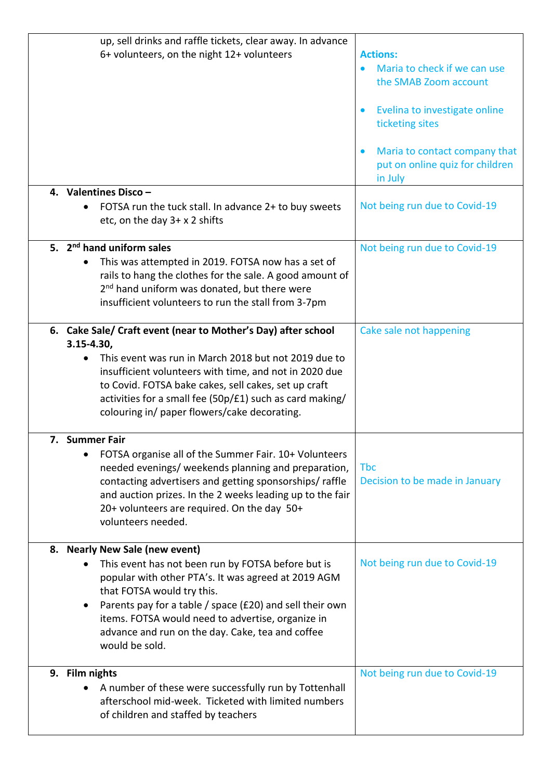| up, sell drinks and raffle tickets, clear away. In advance<br>6+ volunteers, on the night 12+ volunteers                                                                                                                                                                                                                                                              | <b>Actions:</b><br>Maria to check if we can use<br>the SMAB Zoom account<br>Evelina to investigate online<br>$\bullet$<br>ticketing sites<br>Maria to contact company that<br>$\bullet$<br>put on online quiz for children<br>in July |
|-----------------------------------------------------------------------------------------------------------------------------------------------------------------------------------------------------------------------------------------------------------------------------------------------------------------------------------------------------------------------|---------------------------------------------------------------------------------------------------------------------------------------------------------------------------------------------------------------------------------------|
| 4. Valentines Disco -<br>FOTSA run the tuck stall. In advance 2+ to buy sweets<br>etc, on the day 3+ x 2 shifts                                                                                                                                                                                                                                                       | Not being run due to Covid-19                                                                                                                                                                                                         |
| 5. 2 <sup>nd</sup> hand uniform sales<br>This was attempted in 2019. FOTSA now has a set of<br>rails to hang the clothes for the sale. A good amount of<br>2 <sup>nd</sup> hand uniform was donated, but there were<br>insufficient volunteers to run the stall from 3-7pm                                                                                            | Not being run due to Covid-19                                                                                                                                                                                                         |
| 6. Cake Sale/ Craft event (near to Mother's Day) after school<br>$3.15 - 4.30,$<br>This event was run in March 2018 but not 2019 due to<br>insufficient volunteers with time, and not in 2020 due<br>to Covid. FOTSA bake cakes, sell cakes, set up craft<br>activities for a small fee (50p/£1) such as card making/<br>colouring in/ paper flowers/cake decorating. | Cake sale not happening                                                                                                                                                                                                               |
| 7. Summer Fair<br>FOTSA organise all of the Summer Fair. 10+ Volunteers<br>needed evenings/ weekends planning and preparation,<br>contacting advertisers and getting sponsorships/raffle<br>and auction prizes. In the 2 weeks leading up to the fair<br>20+ volunteers are required. On the day 50+<br>volunteers needed.                                            | <b>Tbc</b><br>Decision to be made in January                                                                                                                                                                                          |
| 8. Nearly New Sale (new event)<br>This event has not been run by FOTSA before but is<br>popular with other PTA's. It was agreed at 2019 AGM<br>that FOTSA would try this.<br>Parents pay for a table / space (£20) and sell their own<br>items. FOTSA would need to advertise, organize in<br>advance and run on the day. Cake, tea and coffee<br>would be sold.      | Not being run due to Covid-19                                                                                                                                                                                                         |
| 9. Film nights<br>A number of these were successfully run by Tottenhall<br>afterschool mid-week. Ticketed with limited numbers<br>of children and staffed by teachers                                                                                                                                                                                                 | Not being run due to Covid-19                                                                                                                                                                                                         |